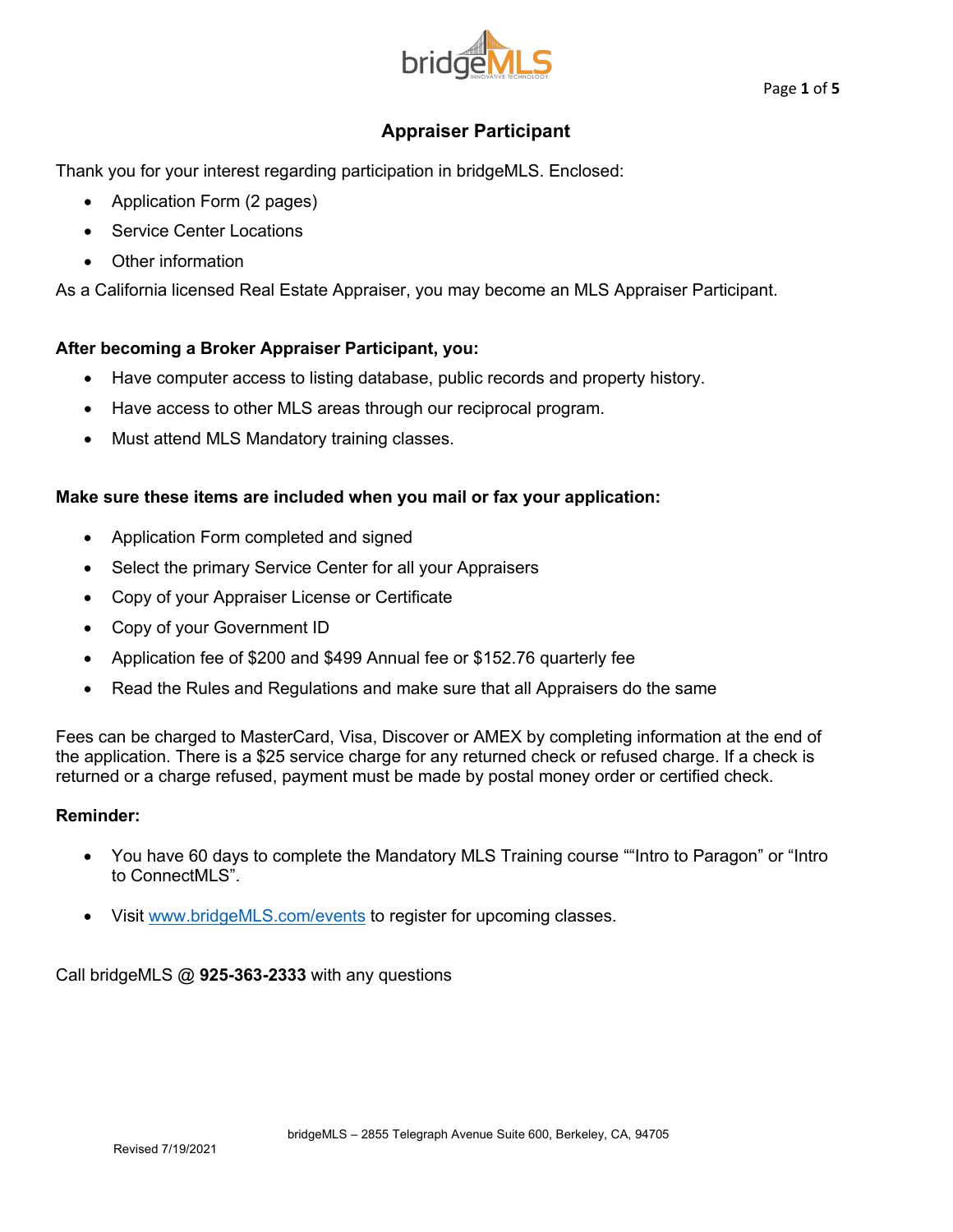

# **Appraiser Participant**

Thank you for your interest regarding participation in bridgeMLS. Enclosed:

- Application Form (2 pages)
- Service Center Locations
- Other information

As a California licensed Real Estate Appraiser, you may become an MLS Appraiser Participant.

# **After becoming a Broker Appraiser Participant, you:**

- Have computer access to listing database, public records and property history.
- Have access to other MLS areas through our reciprocal program.
- Must attend MLS Mandatory training classes.

# **Make sure these items are included when you mail or fax your application:**

- Application Form completed and signed
- Select the primary Service Center for all your Appraisers
- Copy of your Appraiser License or Certificate
- Copy of your Government ID
- Application fee of \$200 and \$499 Annual fee or \$152.76 quarterly fee
- Read the Rules and Regulations and make sure that all Appraisers do the same

Fees can be charged to MasterCard, Visa, Discover or AMEX by completing information at the end of the application. There is a \$25 service charge for any returned check or refused charge. If a check is returned or a charge refused, payment must be made by postal money order or certified check.

#### **Reminder:**

- You have 60 days to complete the Mandatory MLS Training course ""Intro to Paragon" or "Intro to ConnectMLS".
- Visit www.bridgeMLS.com/events to register for upcoming classes.

Call bridgeMLS @ **925-363-2333** with any questions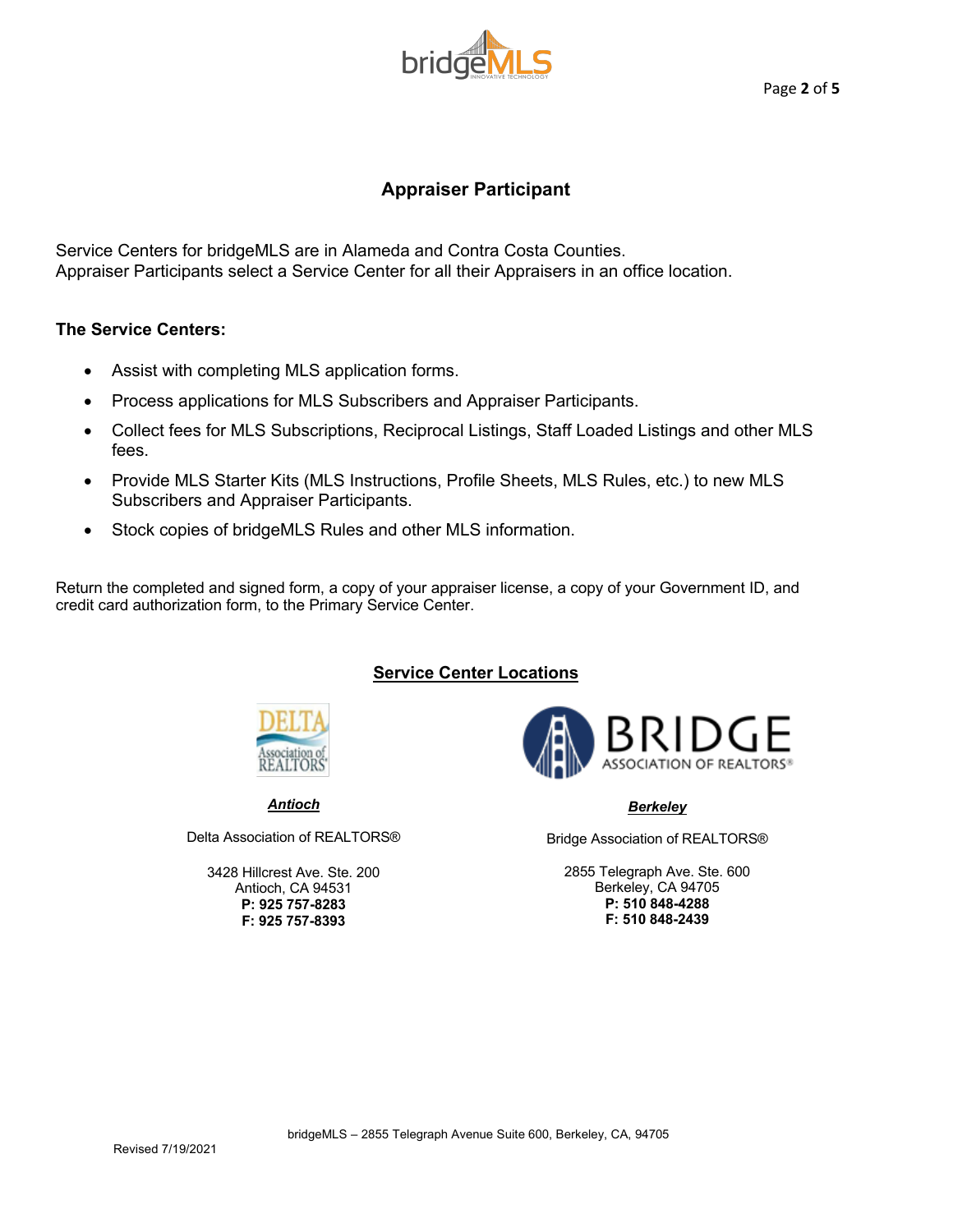

# **Appraiser Participant**

Service Centers for bridgeMLS are in Alameda and Contra Costa Counties. Appraiser Participants select a Service Center for all their Appraisers in an office location.

#### **The Service Centers:**

- Assist with completing MLS application forms.
- Process applications for MLS Subscribers and Appraiser Participants.
- Collect fees for MLS Subscriptions, Reciprocal Listings, Staff Loaded Listings and other MLS fees.
- Provide MLS Starter Kits (MLS Instructions, Profile Sheets, MLS Rules, etc.) to new MLS Subscribers and Appraiser Participants.
- Stock copies of bridgeMLS Rules and other MLS information.

Return the completed and signed form, a copy of your appraiser license, a copy of your Government ID, and credit card authorization form, to the Primary Service Center.

# **Service Center Locations**



*Antioch*

Delta Association of REALTORS®

3428 Hillcrest Ave. Ste. 200 Antioch, CA 94531 **P: 925 757-8283 F: 925 757-8393**



#### *Berkeley*

Bridge Association of REALTORS®

2855 Telegraph Ave. Ste. 600 Berkeley, CA 94705 **P: 510 848-4288 F: 510 848-2439**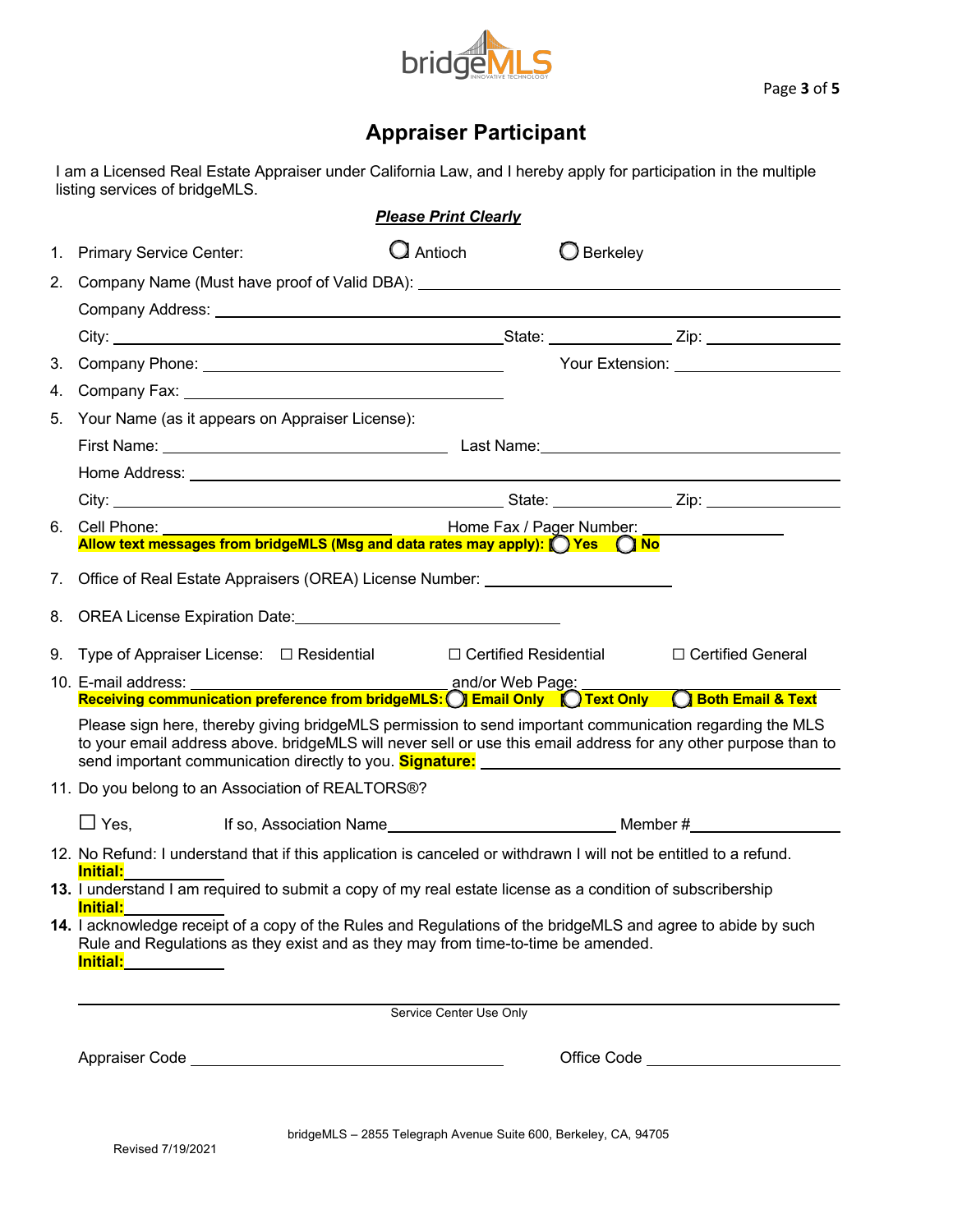

# **Appraiser Participant**

I am a Licensed Real Estate Appraiser under California Law, and I hereby apply for participation in the multiple listing services of bridgeMLS.

| <b>Please Print Clearly</b> |                                                                                                                                                                                                                                                                                                                                                                                                                                                                      |                |  |                     |                          |
|-----------------------------|----------------------------------------------------------------------------------------------------------------------------------------------------------------------------------------------------------------------------------------------------------------------------------------------------------------------------------------------------------------------------------------------------------------------------------------------------------------------|----------------|--|---------------------|--------------------------|
| 1.                          | <b>Primary Service Center:</b>                                                                                                                                                                                                                                                                                                                                                                                                                                       | $\Box$ Antioch |  | $\bigcirc$ Berkeley |                          |
| 2.                          | Company Name (Must have proof of Valid DBA): ___________________________________                                                                                                                                                                                                                                                                                                                                                                                     |                |  |                     |                          |
|                             |                                                                                                                                                                                                                                                                                                                                                                                                                                                                      |                |  |                     |                          |
|                             |                                                                                                                                                                                                                                                                                                                                                                                                                                                                      |                |  |                     |                          |
| 3.                          |                                                                                                                                                                                                                                                                                                                                                                                                                                                                      |                |  |                     |                          |
| 4.                          | Company Fax: National Company Fax: National Company Fax: National Company Fax: National Company of the Company Company of the Company of the Company Company of the Company of the Company of the Company of the Company of th                                                                                                                                                                                                                                       |                |  |                     |                          |
| 5.                          | Your Name (as it appears on Appraiser License):                                                                                                                                                                                                                                                                                                                                                                                                                      |                |  |                     |                          |
|                             |                                                                                                                                                                                                                                                                                                                                                                                                                                                                      |                |  |                     |                          |
|                             |                                                                                                                                                                                                                                                                                                                                                                                                                                                                      |                |  |                     |                          |
|                             |                                                                                                                                                                                                                                                                                                                                                                                                                                                                      |                |  |                     |                          |
|                             | 6. Cell Phone: <u>_______________________________</u>                                                                                                                                                                                                                                                                                                                                                                                                                |                |  |                     | Home Fax / Pager Number: |
|                             | Allow text messages from bridgeMLS (Msg and data rates may apply): ( ) Yes ( ) No                                                                                                                                                                                                                                                                                                                                                                                    |                |  |                     |                          |
| $7_{\cdot}$                 | Office of Real Estate Appraisers (OREA) License Number: ________________________                                                                                                                                                                                                                                                                                                                                                                                     |                |  |                     |                          |
| 8.                          | OREA License Expiration Date: Manual According to the According of the According of the According of the According of the According of the According of the According of the According of the According of the According of th                                                                                                                                                                                                                                       |                |  |                     |                          |
|                             | 9. Type of Appraiser License: $\Box$ Residential $\Box$ Certified Residential                                                                                                                                                                                                                                                                                                                                                                                        |                |  |                     | □ Certified General      |
|                             | 10. E-mail address: __________                                                                                                                                                                                                                                                                                                                                                                                                                                       |                |  |                     |                          |
|                             | Receiving communication preference from bridgeMLS: O Email Only ( Text Only C Both Email & Text                                                                                                                                                                                                                                                                                                                                                                      |                |  |                     |                          |
|                             | Please sign here, thereby giving bridgeMLS permission to send important communication regarding the MLS<br>to your email address above. bridgeMLS will never sell or use this email address for any other purpose than to                                                                                                                                                                                                                                            |                |  |                     |                          |
|                             | 11. Do you belong to an Association of REALTORS®?                                                                                                                                                                                                                                                                                                                                                                                                                    |                |  |                     |                          |
|                             | $\Box$ Yes.                                                                                                                                                                                                                                                                                                                                                                                                                                                          |                |  |                     |                          |
|                             | 12. No Refund: I understand that if this application is canceled or withdrawn I will not be entitled to a refund.                                                                                                                                                                                                                                                                                                                                                    |                |  |                     |                          |
|                             | <u>Initial:</u><br>13. I understand I am required to submit a copy of my real estate license as a condition of subscribership                                                                                                                                                                                                                                                                                                                                        |                |  |                     |                          |
|                             | <u>Initial:_________</u><br>14. I acknowledge receipt of a copy of the Rules and Regulations of the bridgeMLS and agree to abide by such<br>Rule and Regulations as they exist and as they may from time-to-time be amended.<br>Initial: <b>with a common contract of the common contract of the contract of the contract of the contract of the contract of the contract of the contract of the contract of the contract of the contract of the contract of the</b> |                |  |                     |                          |
| Service Center Use Only     |                                                                                                                                                                                                                                                                                                                                                                                                                                                                      |                |  |                     |                          |
|                             | Appraiser Code <u>experience</u> and the contract of the contract of the contract of the contract of the contract of the contract of the contract of the contract of the contract of the contract of the contract of the contract o                                                                                                                                                                                                                                  |                |  |                     |                          |

bridgeMLS – 2855 Telegraph Avenue Suite 600, Berkeley, CA, 94705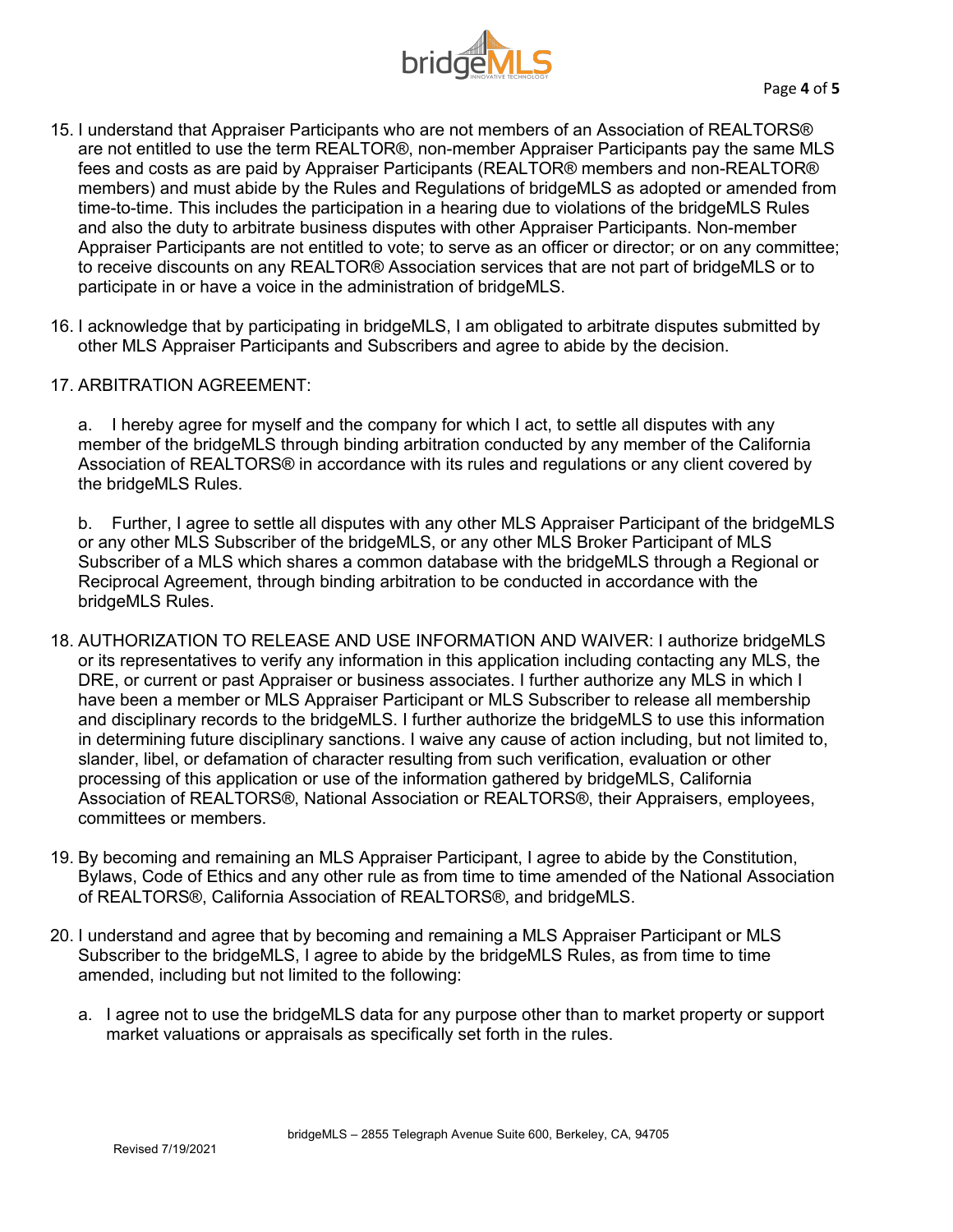

- 15. I understand that Appraiser Participants who are not members of an Association of REALTORS® are not entitled to use the term REALTOR®, non-member Appraiser Participants pay the same MLS fees and costs as are paid by Appraiser Participants (REALTOR® members and non-REALTOR® members) and must abide by the Rules and Regulations of bridgeMLS as adopted or amended from time-to-time. This includes the participation in a hearing due to violations of the bridgeMLS Rules and also the duty to arbitrate business disputes with other Appraiser Participants. Non-member Appraiser Participants are not entitled to vote; to serve as an officer or director; or on any committee; to receive discounts on any REALTOR® Association services that are not part of bridgeMLS or to participate in or have a voice in the administration of bridgeMLS.
- 16. I acknowledge that by participating in bridgeMLS, I am obligated to arbitrate disputes submitted by other MLS Appraiser Participants and Subscribers and agree to abide by the decision.
- 17. ARBITRATION AGREEMENT:

a. I hereby agree for myself and the company for which I act, to settle all disputes with any member of the bridgeMLS through binding arbitration conducted by any member of the California Association of REALTORS® in accordance with its rules and regulations or any client covered by the bridgeMLS Rules.

b. Further, I agree to settle all disputes with any other MLS Appraiser Participant of the bridgeMLS or any other MLS Subscriber of the bridgeMLS, or any other MLS Broker Participant of MLS Subscriber of a MLS which shares a common database with the bridgeMLS through a Regional or Reciprocal Agreement, through binding arbitration to be conducted in accordance with the bridgeMLS Rules.

- 18. AUTHORIZATION TO RELEASE AND USE INFORMATION AND WAIVER: I authorize bridgeMLS or its representatives to verify any information in this application including contacting any MLS, the DRE, or current or past Appraiser or business associates. I further authorize any MLS in which I have been a member or MLS Appraiser Participant or MLS Subscriber to release all membership and disciplinary records to the bridgeMLS. I further authorize the bridgeMLS to use this information in determining future disciplinary sanctions. I waive any cause of action including, but not limited to, slander, libel, or defamation of character resulting from such verification, evaluation or other processing of this application or use of the information gathered by bridgeMLS, California Association of REALTORS®, National Association or REALTORS®, their Appraisers, employees, committees or members.
- 19. By becoming and remaining an MLS Appraiser Participant, I agree to abide by the Constitution, Bylaws, Code of Ethics and any other rule as from time to time amended of the National Association of REALTORS®, California Association of REALTORS®, and bridgeMLS.
- 20. I understand and agree that by becoming and remaining a MLS Appraiser Participant or MLS Subscriber to the bridgeMLS, I agree to abide by the bridgeMLS Rules, as from time to time amended, including but not limited to the following:
	- a. I agree not to use the bridgeMLS data for any purpose other than to market property or support market valuations or appraisals as specifically set forth in the rules.